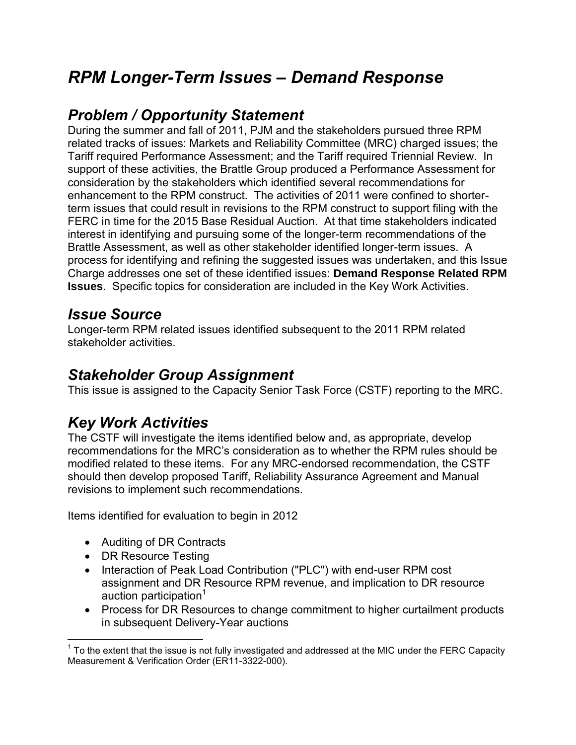# *RPM Longer-Term Issues – Demand Response*

# *Problem / Opportunity Statement*

During the summer and fall of 2011, PJM and the stakeholders pursued three RPM related tracks of issues: Markets and Reliability Committee (MRC) charged issues; the Tariff required Performance Assessment; and the Tariff required Triennial Review. In support of these activities, the Brattle Group produced a Performance Assessment for consideration by the stakeholders which identified several recommendations for enhancement to the RPM construct. The activities of 2011 were confined to shorterterm issues that could result in revisions to the RPM construct to support filing with the FERC in time for the 2015 Base Residual Auction. At that time stakeholders indicated interest in identifying and pursuing some of the longer-term recommendations of the Brattle Assessment, as well as other stakeholder identified longer-term issues. A process for identifying and refining the suggested issues was undertaken, and this Issue Charge addresses one set of these identified issues: **Demand Response Related RPM Issues**. Specific topics for consideration are included in the Key Work Activities.

#### *Issue Source*

Longer-term RPM related issues identified subsequent to the 2011 RPM related stakeholder activities.

## *Stakeholder Group Assignment*

This issue is assigned to the Capacity Senior Task Force (CSTF) reporting to the MRC.

# *Key Work Activities*

The CSTF will investigate the items identified below and, as appropriate, develop recommendations for the MRC's consideration as to whether the RPM rules should be modified related to these items. For any MRC-endorsed recommendation, the CSTF should then develop proposed Tariff, Reliability Assurance Agreement and Manual revisions to implement such recommendations.

Items identified for evaluation to begin in 2012

- Auditing of DR Contracts
- DR Resource Testing
- Interaction of Peak Load Contribution ("PLC") with end-user RPM cost assignment and DR Resource RPM revenue, and implication to DR resource auction participation $1$
- Process for DR Resources to change commitment to higher curtailment products in subsequent Delivery-Year auctions

 $\overline{a}$  $1$  To the extent that the issue is not fully investigated and addressed at the MIC under the FERC Capacity Measurement & Verification Order (ER11-3322-000).